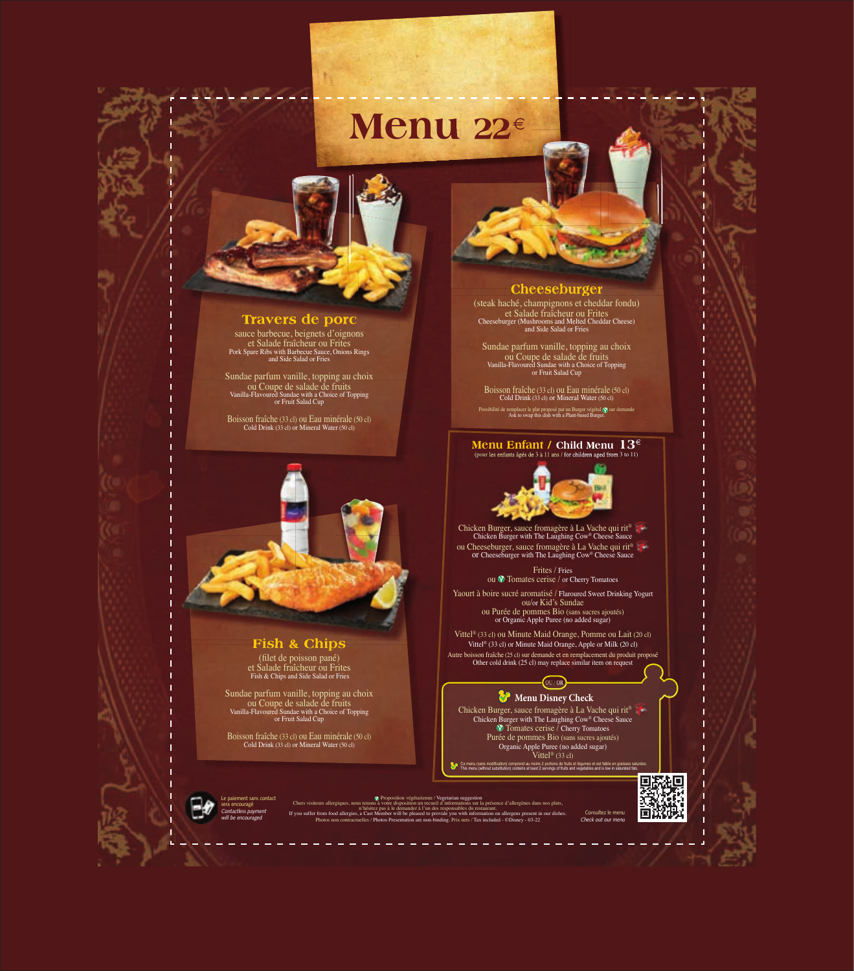# **Menu 22**€

*Consultez le menu Check out our menu*



*Le paiement sans contact sera encouragé Contactless payment will be encouraged*

® Proposition végétarienne / Vegetarian suggestion<br>Chers visiteurs allergiques, nous tenons à votre disposition un recueil d'informations sur la présence d'allergènes dans nos plats,<br>n'hésitez pas à le demander à l'un des Photos non contractuelles / Photos Presentation are non-binding. Prix nets / Tax included - ©Disney - 03-22

(filet de poisson pané) et Salade fraîcheur ou Frites Fish & Chips and Side Salad or Fries



sauce barbecue, beignets d'oignons et Salade fraîcheur ou Frites Pork Spare Ribs with Barbecue Sauce, Onions Rings and Side Salad or Fries

Sundae parfum vanille, topping au choix ou Coupe de salade de fruits Vanilla-Flavoured Sundae with a Choice of Topping or Fruit Salad Cup

Boisson fraîche (33 cl) ou Eau minérale (50 cl) Cold Drink (33 cl) or Mineral Water (50 cl)



# **Fish & Chips**

Frites / Fries ou  $\circledR$  Tomates cerise / or Cherry Tomatoes

Sundae parfum vanille, topping au choix ou Coupe de salade de fruits Vanilla-Flavoured Sundae with a Choice of Topping or Fruit Salad Cup

Boisson fraîche (33 cl) ou Eau minérale (50 cl) Cold Drink (33 cl) or Mineral Water (50 cl)

### **Menu Disney Check**

### **Cheeseburger**

(steak haché, champignons et cheddar fondu) et Salade fraîcheur ou Frites Cheeseburger (Mushrooms and Melted Cheddar Cheese) and Side Salad or Fries

Sundae parfum vanille, topping au choix ou Coupe de salade de fruits Vanilla-Flavoured Sundae with a Choice of Topping or Fruit Salad Cup

Boisson fraîche (33 cl) ou Eau minérale (50 cl) Cold Drink (33 cl) or Mineral Water (50 cl)

Possibilité de remplacer le plat proposé par un Burger végétal (y) sur demande<br>Ask to swap this dish with a Plant-based Burger.

### (pour les enfants âgés de 3 à 11 ans / for children aged from 3 to 11) **Menu Enfant / Child Menu 13**€



Chicken Burger with The Laughing Cow® Cheese Sauce ou Cheeseburger, sauce fromagère à La Vache qui rit® or Cheeseburger with The Laughing Cow® Cheese Sauce

Yaourt à boire sucré aromatisé / Flaroured Sweet Drinking Yogurt ou/or Kid's Sundae ou Purée de pommes Bio (sans sucres ajoutés) or Organic Apple Puree (no added sugar)

Vittel® (33 cl) ou Minute Maid Orange, Pomme ou Lait (20 cl) Vittel® (33 cl) or Minute Maid Orange, Apple or Milk (20 cl)

Autre boisson fraîche (25 cl) sur demande et en remplacement du produit proposé Other cold drink (25 cl) may replace similar item on request

OU / OR

Chicken Burger, sauce fromagère à La Vache qui rit<sup>®</sup> Chicken Burger with The Laughing Cow® Cheese Sauce  $\circledR$  Tomates cerise / Cherry Tomatoes Purée de pommes Bio (sans sucres ajoutés) Organic Apple Puree (no added sugar) Vittel<sup>®</sup> (33 cl)

Ce menu (sans modification) comprend au moins 2 portions de fruits et légumes et est faible en graisses saturées.<br>This menu (without substitution) contains at least 2 servings of fruits and vegetables and is low in saturat